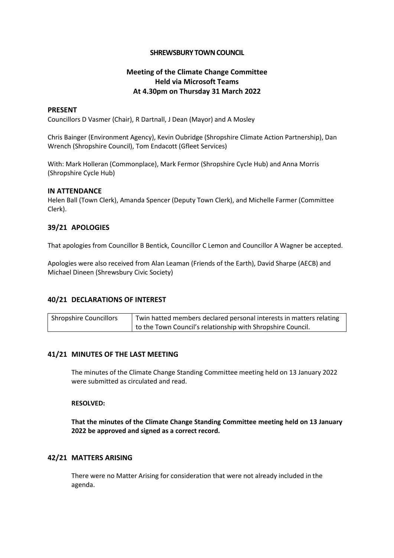## **SHREWSBURY TOWN COUNCIL**

# **Meeting of the Climate Change Committee Held via Microsoft Teams At 4.30pm on Thursday 31 March 2022**

### **PRESENT**

Councillors D Vasmer (Chair), R Dartnall, J Dean (Mayor) and A Mosley

Chris Bainger (Environment Agency), Kevin Oubridge (Shropshire Climate Action Partnership), Dan Wrench (Shropshire Council), Tom Endacott (Gfleet Services)

With: Mark Holleran (Commonplace), Mark Fermor (Shropshire Cycle Hub) and Anna Morris (Shropshire Cycle Hub)

#### **IN ATTENDANCE**

Helen Ball (Town Clerk), Amanda Spencer (Deputy Town Clerk), and Michelle Farmer (Committee Clerk).

## **39/21 APOLOGIES**

That apologies from Councillor B Bentick, Councillor C Lemon and Councillor A Wagner be accepted.

Apologies were also received from Alan Leaman (Friends of the Earth), David Sharpe (AECB) and Michael Dineen (Shrewsbury Civic Society)

# **40/21 DECLARATIONS OF INTEREST**

| <b>Shropshire Councillors</b> | Twin hatted members declared personal interests in matters relating |
|-------------------------------|---------------------------------------------------------------------|
|                               | to the Town Council's relationship with Shropshire Council.         |

## **41/21 MINUTES OF THE LAST MEETING**

The minutes of the Climate Change Standing Committee meeting held on 13 January 2022 were submitted as circulated and read.

## **RESOLVED:**

**That the minutes of the Climate Change Standing Committee meeting held on 13 January 2022 be approved and signed as a correct record.**

## **42/21 MATTERS ARISING**

There were no Matter Arising for consideration that were not already included in the agenda.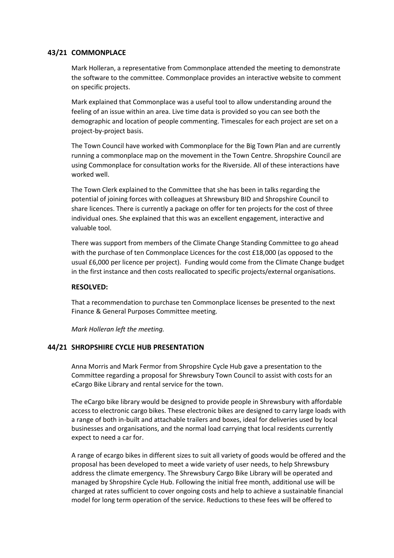# **43/21 COMMONPLACE**

Mark Holleran, a representative from Commonplace attended the meeting to demonstrate the software to the committee. Commonplace provides an interactive website to comment on specific projects.

Mark explained that Commonplace was a useful tool to allow understanding around the feeling of an issue within an area. Live time data is provided so you can see both the demographic and location of people commenting. Timescales for each project are set on a project-by-project basis.

The Town Council have worked with Commonplace for the Big Town Plan and are currently running a commonplace map on the movement in the Town Centre. Shropshire Council are using Commonplace for consultation works for the Riverside. All of these interactions have worked well.

The Town Clerk explained to the Committee that she has been in talks regarding the potential of joining forces with colleagues at Shrewsbury BID and Shropshire Council to share licences. There is currently a package on offer for ten projects for the cost of three individual ones. She explained that this was an excellent engagement, interactive and valuable tool.

There was support from members of the Climate Change Standing Committee to go ahead with the purchase of ten Commonplace Licences for the cost £18,000 (as opposed to the usual £6,000 per licence per project). Funding would come from the Climate Change budget in the first instance and then costs reallocated to specific projects/external organisations.

## **RESOLVED:**

That a recommendation to purchase ten Commonplace licenses be presented to the next Finance & General Purposes Committee meeting.

*Mark Holleran left the meeting.*

## **44/21 SHROPSHIRE CYCLE HUB PRESENTATION**

Anna Morris and Mark Fermor from Shropshire Cycle Hub gave a presentation to the Committee regarding a proposal for Shrewsbury Town Council to assist with costs for an eCargo Bike Library and rental service for the town.

The eCargo bike library would be designed to provide people in Shrewsbury with affordable access to electronic cargo bikes. These electronic bikes are designed to carry large loads with a range of both in-built and attachable trailers and boxes, ideal for deliveries used by local businesses and organisations, and the normal load carrying that local residents currently expect to need a car for.

A range of ecargo bikes in different sizes to suit all variety of goods would be offered and the proposal has been developed to meet a wide variety of user needs, to help Shrewsbury address the climate emergency. The Shrewsbury Cargo Bike Library will be operated and managed by Shropshire Cycle Hub. Following the initial free month, additional use will be charged at rates sufficient to cover ongoing costs and help to achieve a sustainable financial model for long term operation of the service. Reductions to these fees will be offered to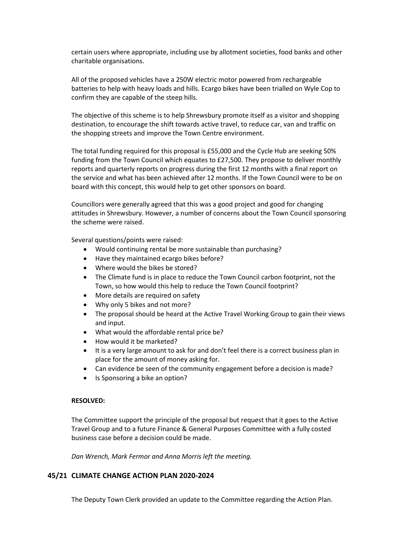certain users where appropriate, including use by allotment societies, food banks and other charitable organisations.

All of the proposed vehicles have a 250W electric motor powered from rechargeable batteries to help with heavy loads and hills. Ecargo bikes have been trialled on Wyle Cop to confirm they are capable of the steep hills.

The objective of this scheme is to help Shrewsbury promote itself as a visitor and shopping destination, to encourage the shift towards active travel, to reduce car, van and traffic on the shopping streets and improve the Town Centre environment.

The total funding required for this proposal is £55,000 and the Cycle Hub are seeking 50% funding from the Town Council which equates to £27,500. They propose to deliver monthly reports and quarterly reports on progress during the first 12 months with a final report on the service and what has been achieved after 12 months. If the Town Council were to be on board with this concept, this would help to get other sponsors on board.

Councillors were generally agreed that this was a good project and good for changing attitudes in Shrewsbury. However, a number of concerns about the Town Council sponsoring the scheme were raised.

Several questions/points were raised:

- Would continuing rental be more sustainable than purchasing?
- Have they maintained ecargo bikes before?
- Where would the bikes be stored?
- The Climate fund is in place to reduce the Town Council carbon footprint, not the Town, so how would this help to reduce the Town Council footprint?
- More details are required on safety
- Why only 5 bikes and not more?
- The proposal should be heard at the Active Travel Working Group to gain their views and input.
- What would the affordable rental price be?
- How would it be marketed?
- It is a very large amount to ask for and don't feel there is a correct business plan in place for the amount of money asking for.
- Can evidence be seen of the community engagement before a decision is made?
- Is Sponsoring a bike an option?

#### **RESOLVED:**

The Committee support the principle of the proposal but request that it goes to the Active Travel Group and to a future Finance & General Purposes Committee with a fully costed business case before a decision could be made.

*Dan Wrench, Mark Fermor and Anna Morris left the meeting.*

# **45/21 CLIMATE CHANGE ACTION PLAN 2020-2024**

The Deputy Town Clerk provided an update to the Committee regarding the Action Plan.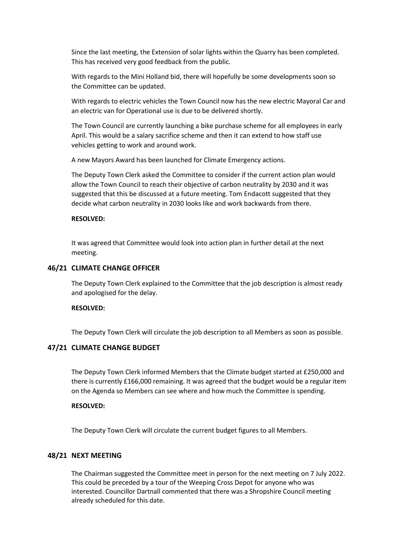Since the last meeting, the Extension of solar lights within the Quarry has been completed. This has received very good feedback from the public.

With regards to the Mini Holland bid, there will hopefully be some developments soon so the Committee can be updated.

With regards to electric vehicles the Town Council now has the new electric Mayoral Car and an electric van for Operational use is due to be delivered shortly.

The Town Council are currently launching a bike purchase scheme for all employees in early April. This would be a salary sacrifice scheme and then it can extend to how staff use vehicles getting to work and around work.

A new Mayors Award has been launched for Climate Emergency actions.

The Deputy Town Clerk asked the Committee to consider if the current action plan would allow the Town Council to reach their objective of carbon neutrality by 2030 and it was suggested that this be discussed at a future meeting. Tom Endacott suggested that they decide what carbon neutrality in 2030 looks like and work backwards from there.

#### **RESOLVED:**

It was agreed that Committee would look into action plan in further detail at the next meeting.

#### **46/21 CLIMATE CHANGE OFFICER**

The Deputy Town Clerk explained to the Committee that the job description is almost ready and apologised for the delay.

## **RESOLVED:**

The Deputy Town Clerk will circulate the job description to all Members as soon as possible.

#### **47/21 CLIMATE CHANGE BUDGET**

The Deputy Town Clerk informed Members that the Climate budget started at £250,000 and there is currently £166,000 remaining. It was agreed that the budget would be a regular item on the Agenda so Members can see where and how much the Committee is spending.

#### **RESOLVED:**

The Deputy Town Clerk will circulate the current budget figures to all Members.

## **48/21 NEXT MEETING**

The Chairman suggested the Committee meet in person for the next meeting on 7 July 2022. This could be preceded by a tour of the Weeping Cross Depot for anyone who was interested. Councillor Dartnall commented that there was a Shropshire Council meeting already scheduled for this date.